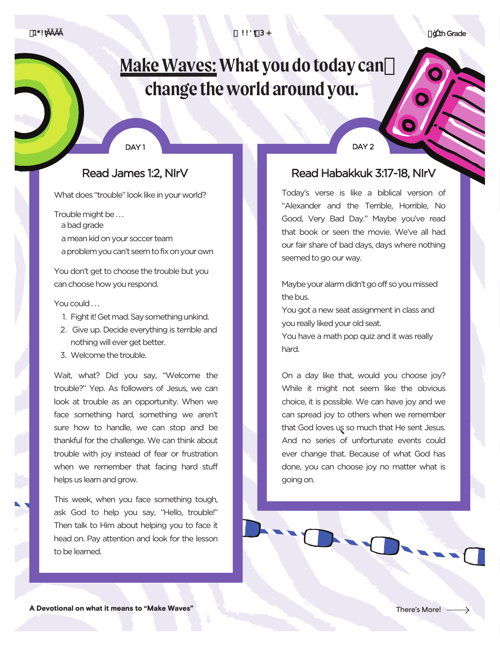fl th Grade

# **Make Waves: What you do today can change the world around you.**

#### DAY<sub>1</sub>

## Read James 1:2, NIrV

What does "trouble" look like in your world?

Trouble might be . . .

- a bad grade
- a mean kid on your soccer team
- a problem you can't seem to fix on your own

You don't get to choose the trouble but you can choose how you respond.

#### You could ...

- 1. Fight it! Get mad. Say something unkind.
- 2. Give up. Decide everything is terrible and nothing will ever get better.
- 3. Welcome the trouble.

Wait, what? Did you say, "Welcome the trouble?" Yep. As followers of Jesus, we can look at trouble as an opportunity. When we face something hard, something we aren't sure how to handle, we can stop and be thankful for the challenge. We can think about trouble with joy instead of fear or frustration when we remember that facing hard stuff helps us learn and grow.

This week, when you face something tough, ask God to help you say, "Hello, trouble!" Then talk to Him about helping you to face it head on. Pay attention and look for the lesson to be learned.

DAY<sub>2</sub>

## Read Habakkuk 3:17-18, NIrV

Today's verse is like a biblical version of "Alexander and the Terrible, Horrible, No Good, Very Bad Day." Maybe you've read that book or seen the movie. We've all had our fair share of bad days, days where nothing seemed to go our way.

Maybe your alarm didn't go off so you missed the bus.

You got a new seat assignment in class and you really liked your old seat.

You have a math pop quiz and it was really hard.

On a day like that, would you choose joy? While it might not seem like the obvious choice, it is possible. We can have joy and we can spread joy to others when we remember that God loves us so much that He sent Jesus. And no series of unfortunate events could ever change that. Because of what God has done, you can choose joy no matter what is going on.